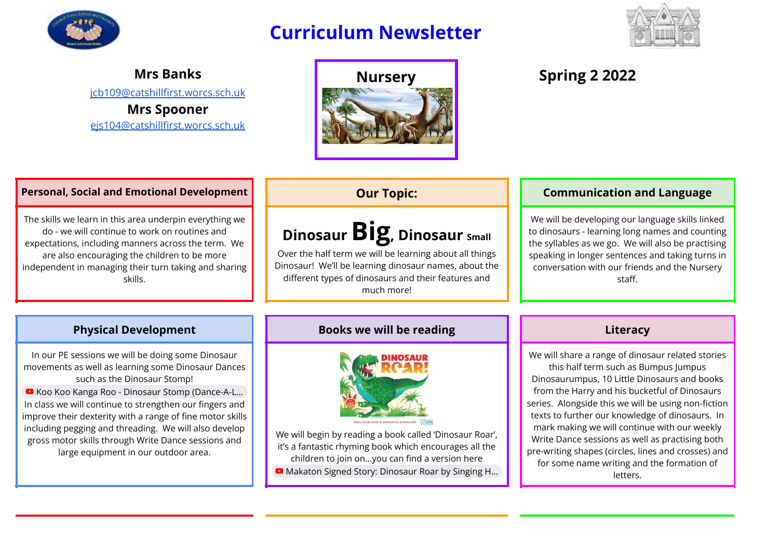

## **Curriculum Newsletter**



**Mrs Banks** [jcb109@catshillfirst.worcs.sch.uk](mailto:jcb109@catshillfirst.worcs.sch.uk) **Mrs Spooner**

[ejs104@catshillfirst.worcs.sch.uk](mailto:ejs104@catshillfirst.worcs.sch.uk)



### **Personal, Social and Emotional Development Queener and Conventions Communication and Language**

The skills we learn in this area underpin everything we do - we will continue to work on routines and expectations, including manners across the term. We are also encouraging the children to be more independent in managing their turn taking and sharing skills.

# **DinosaurBig, Dinosaur Small**

Over the half term we will be learning about all things Dinosaur! We'll be learning dinosaur names, about the different types of dinosaurs and their features and much more!

We will be developing our language skills linked to dinosaurs - learning long names and counting the syllables as we go. We will also be practising speaking in longer sentences and taking turns in conversation with our friends and the Nursery staff.

In our PE sessions we will be doing some Dinosaur movements as well as learning some Dinosaur Dances such as the Dinosaur Stomp! ■ Koo Koo Kanga Roo - Dinosaur Stomp (Dance-A-L...

In class we will continue to strengthen our fingers and improve their dexterity with a range of fine motor skills including pegging and threading. We will also develop gross motor skills through Write Dance sessions and large equipment in our outdoor area.

### **Physical Development Books we will be reading Literacy**



We will begin by reading a book called 'Dinosaur Roar', it's a fantastic rhyming book which encourages all the children to join on…you can find a version here

■ Makaton Signed Story: [Dinosaur](https://www.youtube.com/watch?v=zBa_rvNEqSw) Roar by Singing H...

We will share a range of dinosaur related stories this half term such as Bumpus Jumpus Dinosaurumpus, 10 Little Dinosaurs and books from the Harry and his bucketful of Dinosaurs series. Alongside this we will be using non-fiction texts to further our knowledge of dinosaurs. In mark making we will continue with our weekly Write Dance sessions as well as practising both pre-writing shapes (circles, lines and crosses) and for some name writing and the formation of letters.